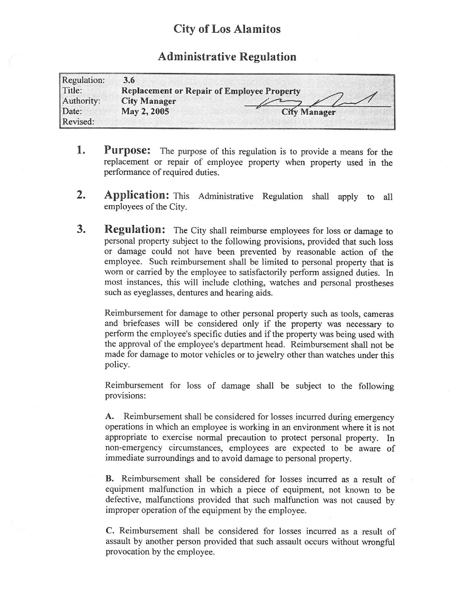## City of Los Alamitos

## Administrative Regulation

| Regulation: | 3.6                                               |              |
|-------------|---------------------------------------------------|--------------|
| Title:      | <b>Replacement or Repair of Employee Property</b> |              |
| Authority:  | <b>City Manager</b>                               |              |
| Date:       | May 2, 2005                                       | Cify Manager |
| Revised:    |                                                   |              |

- 1. Purpose: The purpose of this regulation is to provide a means for the replacement or repair of employee property when property used in the performance of required duties.
- 2. Application: This Administrative Regulation shall apply to all employees of the City.
- **3.** Regulation: The City shall reimburse employees for loss or damage to personal property subject to the following provisions, provided that such loss or damage could not have been prevented by reasonable action of the employee. Such reimbursement shall be limited to personal property that is worn or carried by the employee to satisfactorily perform assigned duties. In most instances, this will include clothing, watches and personal prostheses such as eyeglasses, dentures and hearing aids.

Reimbursement for damage to other personal property such as tools, cameras and briefcases will be considered only if the property was necessary to perform the employee's specific duties and if the property was being used with the approval of the employee's department head. Reimbursement shall not be made for damage to motor vehicles or to jewelry other than watches under this policy.

Reimbursement for loss of damage shall be subject to the following provisions:

A. Reimbursement shall be considered for losses incurred during emergency operations in which an employee is working in an environment where it is not appropriate to exercise normal precaution to protect personal property. In non-emergency circumstances, employees are expected to be aware of immediate surroundings and to avoid damage to personal property.

B. Reimbursement shall be considered for losses incurred as <sup>a</sup> result of equipment malfunction in which <sup>a</sup> piece of equipment, not known to be defective, malfunctions provided that such malfunction was not caused by improper operation of the equipment by the employee.

C. Reimbursement shall be considered for losses incurred as <sup>a</sup> result of assault by another person provided that such assault occurs without wrongful provocation by the employee.